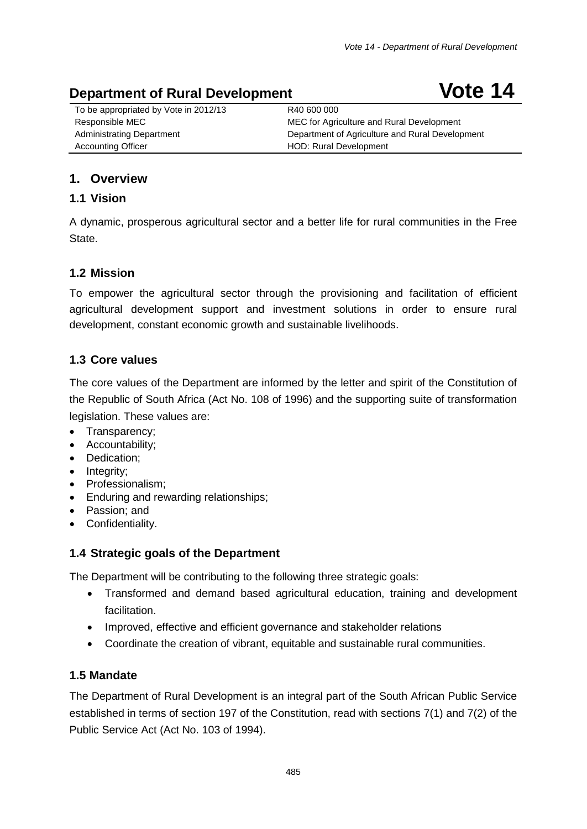# **Department of Rural Development Concrete Concrete Vote 14**

To be appropriated by Vote in 2012/13 R40 600 000 Accounting Officer **HOD:** Rural Development

Responsible MEC MEC MEC MEC for Agriculture and Rural Development Administrating Department **Department Communistration** Department of Agriculture and Rural Development

# **1. Overview**

# **1.1 Vision**

A dynamic, prosperous agricultural sector and a better life for rural communities in the Free State.

# **1.2 Mission**

To empower the agricultural sector through the provisioning and facilitation of efficient agricultural development support and investment solutions in order to ensure rural development, constant economic growth and sustainable livelihoods.

# **1.3 Core values**

The core values of the Department are informed by the letter and spirit of the Constitution of the Republic of South Africa (Act No. 108 of 1996) and the supporting suite of transformation legislation. These values are:

- Transparency;
- Accountability;
- Dedication;
- Integrity;
- Professionalism;
- Enduring and rewarding relationships;
- Passion; and
- Confidentiality.

# **1.4 Strategic goals of the Department**

The Department will be contributing to the following three strategic goals:

- Transformed and demand based agricultural education, training and development facilitation.
- Improved, effective and efficient governance and stakeholder relations
- Coordinate the creation of vibrant, equitable and sustainable rural communities.

# **1.5 Mandate**

The Department of Rural Development is an integral part of the South African Public Service established in terms of section 197 of the Constitution, read with sections 7(1) and 7(2) of the Public Service Act (Act No. 103 of 1994).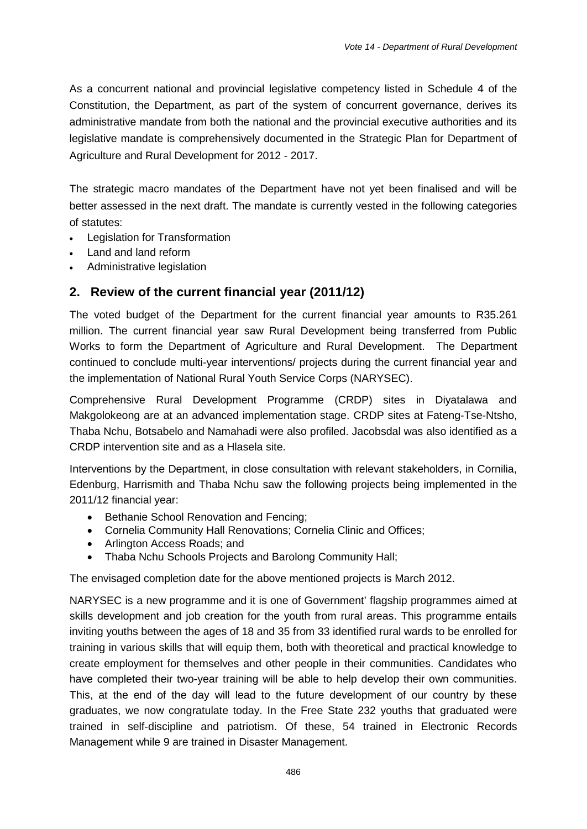As a concurrent national and provincial legislative competency listed in Schedule 4 of the Constitution, the Department, as part of the system of concurrent governance, derives its administrative mandate from both the national and the provincial executive authorities and its legislative mandate is comprehensively documented in the Strategic Plan for Department of Agriculture and Rural Development for 2012 - 2017.

The strategic macro mandates of the Department have not yet been finalised and will be better assessed in the next draft. The mandate is currently vested in the following categories of statutes:

- **Legislation for Transformation**
- Land and land reform
- Administrative legislation

# **2. Review of the current financial year (2011/12)**

The voted budget of the Department for the current financial year amounts to R35.261 million. The current financial year saw Rural Development being transferred from Public Works to form the Department of Agriculture and Rural Development. The Department continued to conclude multi-year interventions/ projects during the current financial year and the implementation of National Rural Youth Service Corps (NARYSEC).

Comprehensive Rural Development Programme (CRDP) sites in Diyatalawa and Makgolokeong are at an advanced implementation stage. CRDP sites at Fateng-Tse-Ntsho, Thaba Nchu, Botsabelo and Namahadi were also profiled. Jacobsdal was also identified as a CRDP intervention site and as a Hlasela site.

Interventions by the Department, in close consultation with relevant stakeholders, in Cornilia, Edenburg, Harrismith and Thaba Nchu saw the following projects being implemented in the 2011/12 financial year:

- Bethanie School Renovation and Fencing;
- Cornelia Community Hall Renovations; Cornelia Clinic and Offices;
- Arlington Access Roads; and
- Thaba Nchu Schools Projects and Barolong Community Hall;

The envisaged completion date for the above mentioned projects is March 2012.

NARYSEC is a new programme and it is one of Government' flagship programmes aimed at skills development and job creation for the youth from rural areas. This programme entails inviting youths between the ages of 18 and 35 from 33 identified rural wards to be enrolled for training in various skills that will equip them, both with theoretical and practical knowledge to create employment for themselves and other people in their communities. Candidates who have completed their two-year training will be able to help develop their own communities. This, at the end of the day will lead to the future development of our country by these graduates, we now congratulate today. In the Free State 232 youths that graduated were trained in self-discipline and patriotism. Of these, 54 trained in Electronic Records Management while 9 are trained in Disaster Management.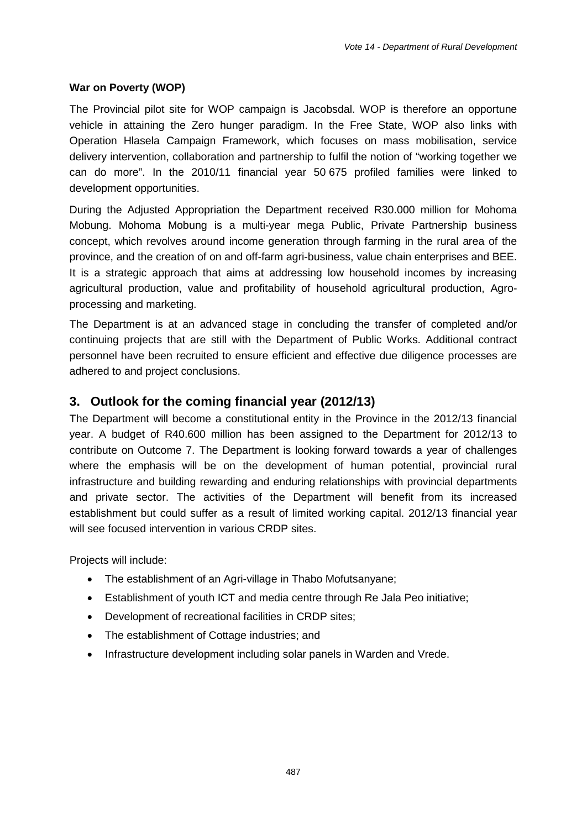### **War on Poverty (WOP)**

The Provincial pilot site for WOP campaign is Jacobsdal. WOP is therefore an opportune vehicle in attaining the Zero hunger paradigm. In the Free State, WOP also links with Operation Hlasela Campaign Framework, which focuses on mass mobilisation, service delivery intervention, collaboration and partnership to fulfil the notion of "working together we can do more". In the 2010/11 financial year 50 675 profiled families were linked to development opportunities.

During the Adjusted Appropriation the Department received R30.000 million for Mohoma Mobung. Mohoma Mobung is a multi-year mega Public, Private Partnership business concept, which revolves around income generation through farming in the rural area of the province, and the creation of on and off-farm agri-business, value chain enterprises and BEE. It is a strategic approach that aims at addressing low household incomes by increasing agricultural production, value and profitability of household agricultural production, Agroprocessing and marketing.

The Department is at an advanced stage in concluding the transfer of completed and/or continuing projects that are still with the Department of Public Works. Additional contract personnel have been recruited to ensure efficient and effective due diligence processes are adhered to and project conclusions.

# **3. Outlook for the coming financial year (2012/13)**

The Department will become a constitutional entity in the Province in the 2012/13 financial year. A budget of R40.600 million has been assigned to the Department for 2012/13 to contribute on Outcome 7. The Department is looking forward towards a year of challenges where the emphasis will be on the development of human potential, provincial rural infrastructure and building rewarding and enduring relationships with provincial departments and private sector. The activities of the Department will benefit from its increased establishment but could suffer as a result of limited working capital. 2012/13 financial year will see focused intervention in various CRDP sites.

Projects will include:

- The establishment of an Agri-village in Thabo Mofutsanyane;
- Establishment of youth ICT and media centre through Re Jala Peo initiative;
- Development of recreational facilities in CRDP sites;
- The establishment of Cottage industries; and
- Infrastructure development including solar panels in Warden and Vrede.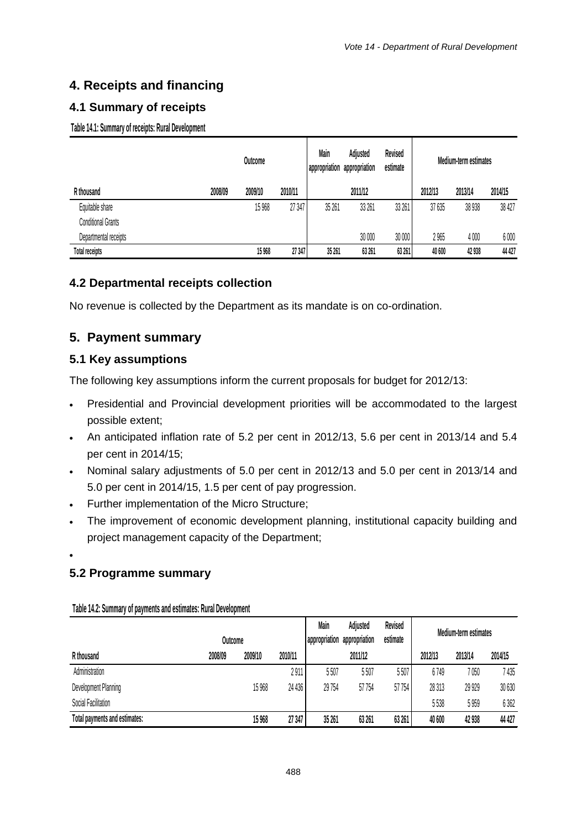# **4. Receipts and financing**

# **4.1 Summary of receipts**

**Table 14.1: Summary of receipts: Rural Development**

|                           |         | Outcome |         | Main   | Adjusted<br>appropriation appropriation | Revised<br>estimate |         | Medium-term estimates |         |
|---------------------------|---------|---------|---------|--------|-----------------------------------------|---------------------|---------|-----------------------|---------|
| R thousand                | 2008/09 | 2009/10 | 2010/11 |        | 2011/12                                 |                     | 2012/13 | 2013/14               | 2014/15 |
| Equitable share           |         | 15 9 68 | 27 347  | 35 261 | 33 261                                  | 33 261              | 37 635  | 38 938                | 38 427  |
| <b>Conditional Grants</b> |         |         |         |        |                                         |                     |         |                       |         |
| Departmental receipts     |         |         |         |        | 30 000                                  | 30 000              | 2 965   | 4000                  | 6000    |
| <b>Total receipts</b>     |         | 15 9 68 | 27 347  | 35 261 | 63 261                                  | 63 261              | 40 600  | 42 938                | 44 427  |

# **4.2 Departmental receipts collection**

No revenue is collected by the Department as its mandate is on co-ordination.

# **5. Payment summary**

# **5.1 Key assumptions**

The following key assumptions inform the current proposals for budget for 2012/13:

- Presidential and Provincial development priorities will be accommodated to the largest possible extent;
- An anticipated inflation rate of 5.2 per cent in 2012/13, 5.6 per cent in 2013/14 and 5.4 per cent in 2014/15;
- Nominal salary adjustments of 5.0 per cent in 2012/13 and 5.0 per cent in 2013/14 and 5.0 per cent in 2014/15, 1.5 per cent of pay progression.
- Further implementation of the Micro Structure;
- The improvement of economic development planning, institutional capacity building and project management capacity of the Department;
- •

# **5.2 Programme summary**

|                               | Outcome |         |         | Main<br>appropriation | Adjusted<br>appropriation | Revised<br>estimate | Medium-term estimates |         |         |
|-------------------------------|---------|---------|---------|-----------------------|---------------------------|---------------------|-----------------------|---------|---------|
| R thousand                    | 2008/09 | 2009/10 | 2010/11 |                       | 2011/12                   |                     | 2012/13               | 2013/14 | 2014/15 |
| Administration                |         |         | 2911    | 5507                  | 5507                      | 5507                | 6749                  | 7 050   | 7 435   |
| Development Planning          |         | 15 968  | 24 436  | 29 7 54               | 57 754                    | 57 754              | 28 313                | 29 929  | 30 630  |
| Social Facilitation           |         |         |         |                       |                           |                     | 5538                  | 5959    | 6362    |
| Total payments and estimates: |         | 15 968  | 27 347  | 35 261                | 63 261                    | 63 261              | 40 600                | 42 938  | 44 427  |

**Table 14.2: Summary of payments and estimates: Rural Development**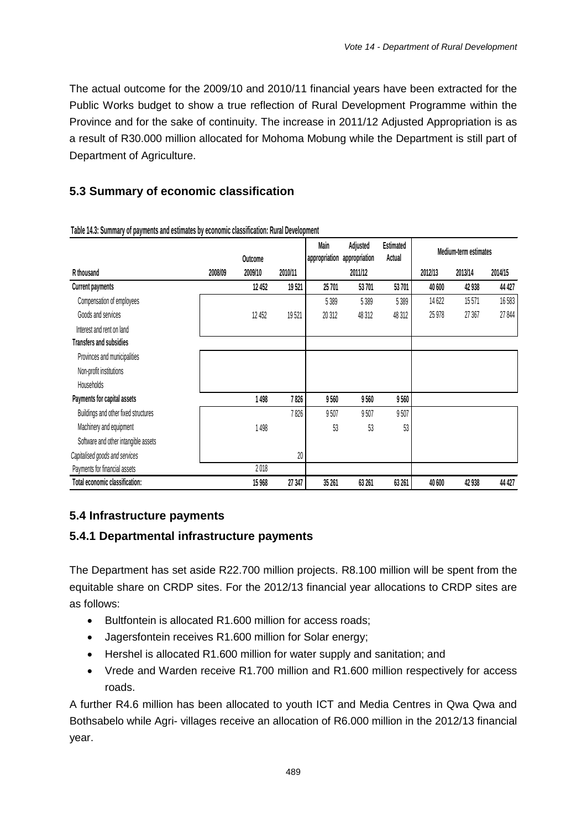The actual outcome for the 2009/10 and 2010/11 financial years have been extracted for the Public Works budget to show a true reflection of Rural Development Programme within the Province and for the sake of continuity. The increase in 2011/12 Adjusted Appropriation is as a result of R30.000 million allocated for Mohoma Mobung while the Department is still part of Department of Agriculture.

# **5.3 Summary of economic classification**

|                                      |         |         |         | Main          | Adjusted      | <b>Estimated</b> | Medium-term estimates |         |         |
|--------------------------------------|---------|---------|---------|---------------|---------------|------------------|-----------------------|---------|---------|
|                                      |         | Outcome |         | appropriation | appropriation | Actual           |                       |         |         |
| R thousand                           | 2008/09 | 2009/10 | 2010/11 |               | 2011/12       |                  | 2012/13               | 2013/14 | 2014/15 |
| <b>Current payments</b>              |         | 12 452  | 19521   | 25 701        | 53701         | 53 701           | 40 600                | 42 938  | 44 427  |
| Compensation of employees            |         |         |         | 5389          | 5 3 8 9       | 5 3 8 9          | 14 622                | 15571   | 16583   |
| Goods and services                   |         | 12 452  | 19521   | 20 312        | 48 312        | 48 312           | 25 978                | 27 367  | 27844   |
| Interest and rent on land            |         |         |         |               |               |                  |                       |         |         |
| <b>Transfers and subsidies</b>       |         |         |         |               |               |                  |                       |         |         |
| Provinces and municipalities         |         |         |         |               |               |                  |                       |         |         |
| Non-profit institutions              |         |         |         |               |               |                  |                       |         |         |
| <b>Households</b>                    |         |         |         |               |               |                  |                       |         |         |
| Payments for capital assets          |         | 1498    | 7826    | 9560          | 9560          | 9560             |                       |         |         |
| Buildings and other fixed structures |         |         | 7826    | 9507          | 9507          | 9507             |                       |         |         |
| Machinery and equipment              |         | 1498    |         | 53            | 53            | 53               |                       |         |         |
| Software and other intangible assets |         |         |         |               |               |                  |                       |         |         |
| Capitalised goods and services       |         |         | $20\,$  |               |               |                  |                       |         |         |
| Payments for financial assets        |         | 2018    |         |               |               |                  |                       |         |         |
| Total economic classification:       |         | 15 9 68 | 27 347  | 35 261        | 63 261        | 63 261           | 40 600                | 42 938  | 44 427  |

**Table 14.3: Summary of payments and estimates by economic classification: Rural Development**

# **5.4 Infrastructure payments**

# **5.4.1 Departmental infrastructure payments**

The Department has set aside R22.700 million projects. R8.100 million will be spent from the equitable share on CRDP sites. For the 2012/13 financial year allocations to CRDP sites are as follows:

- Bultfontein is allocated R1.600 million for access roads;
- Jagersfontein receives R1.600 million for Solar energy;
- Hershel is allocated R1.600 million for water supply and sanitation; and
- Vrede and Warden receive R1.700 million and R1.600 million respectively for access roads.

A further R4.6 million has been allocated to youth ICT and Media Centres in Qwa Qwa and Bothsabelo while Agri- villages receive an allocation of R6.000 million in the 2012/13 financial year.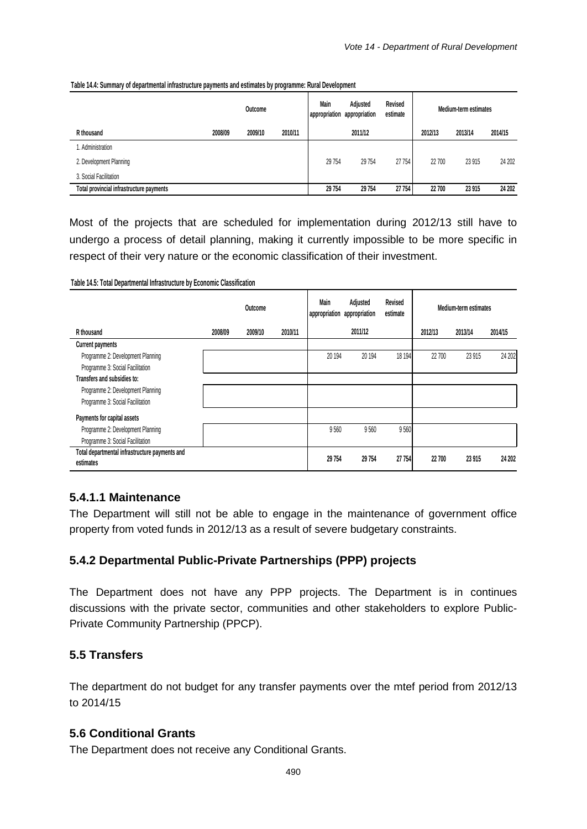|                                          |         | Outcome |         | Main<br>appropriation appropriation | Adjusted | Revised<br>estimate |         | Medium-term estimates |         |
|------------------------------------------|---------|---------|---------|-------------------------------------|----------|---------------------|---------|-----------------------|---------|
| R thousand                               | 2008/09 | 2009/10 | 2010/11 |                                     | 2011/12  |                     | 2012/13 | 2013/14               | 2014/15 |
| . Administration                         |         |         |         |                                     |          |                     |         |                       |         |
| 2. Development Planning                  |         |         |         | 29 754                              | 29 754   | 27 754              | 22 700  | 23 915                | 24 202  |
| 3. Social Facilitation                   |         |         |         |                                     |          |                     |         |                       |         |
| Total provincial infrastructure payments |         |         |         | 29 754                              | 29 754   | 27 754              | 22 700  | 23 915                | 24 202  |

#### **Table 14.4: Summary of departmental infrastructure payments and estimates by programme: Rural Development**

Most of the projects that are scheduled for implementation during 2012/13 still have to undergo a process of detail planning, making it currently impossible to be more specific in respect of their very nature or the economic classification of their investment.

**Table 14.5: Total Departmental Infrastructure by Economic Classification**

|                                                | Outcome |         |         | Main    | Adjusted<br>Revised<br>appropriation appropriation<br>estimate |        | Medium-term estimates |         |         |
|------------------------------------------------|---------|---------|---------|---------|----------------------------------------------------------------|--------|-----------------------|---------|---------|
| R thousand                                     | 2008/09 | 2009/10 | 2010/11 |         | 2011/12                                                        |        | 2012/13               | 2013/14 | 2014/15 |
| Current payments                               |         |         |         |         |                                                                |        |                       |         |         |
| Programme 2: Development Planning              |         |         |         | 20 194  | 20 194                                                         | 18 194 | 22 700                | 23 915  | 24 20 2 |
| Programme 3: Social Facilitation               |         |         |         |         |                                                                |        |                       |         |         |
| Transfers and subsidies to:                    |         |         |         |         |                                                                |        |                       |         |         |
| Programme 2: Development Planning              |         |         |         |         |                                                                |        |                       |         |         |
| Programme 3: Social Facilitation               |         |         |         |         |                                                                |        |                       |         |         |
| Payments for capital assets                    |         |         |         |         |                                                                |        |                       |         |         |
| Programme 2: Development Planning              |         |         |         | 9560    | 9560                                                           | 9560   |                       |         |         |
| Programme 3: Social Facilitation               |         |         |         |         |                                                                |        |                       |         |         |
| Total departmental infrastructure payments and |         |         |         |         |                                                                |        |                       |         |         |
| estimates                                      |         |         |         | 29 7 54 | 29 7 54                                                        | 27 754 | 22 700                | 23 915  | 24 20 2 |

### **5.4.1.1 Maintenance**

The Department will still not be able to engage in the maintenance of government office property from voted funds in 2012/13 as a result of severe budgetary constraints.

# **5.4.2 Departmental Public-Private Partnerships (PPP) projects**

The Department does not have any PPP projects. The Department is in continues discussions with the private sector, communities and other stakeholders to explore Public-Private Community Partnership (PPCP).

# **5.5 Transfers**

The department do not budget for any transfer payments over the mtef period from 2012/13 to 2014/15

# **5.6 Conditional Grants**

The Department does not receive any Conditional Grants.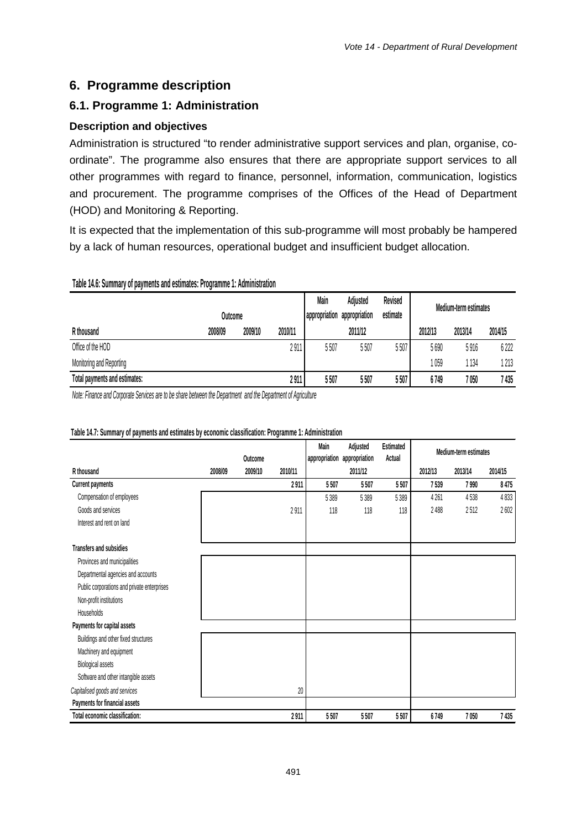ta a contratto

 $2.44 \times 10^{-12}$ 

# **6. Programme description**

# **6.1. Programme 1: Administration**

### **Description and objectives**

Administration is structured "to render administrative support services and plan, organise, coordinate". The programme also ensures that there are appropriate support services to all other programmes with regard to finance, personnel, information, communication, logistics and procurement. The programme comprises of the Offices of the Head of Department (HOD) and Monitoring & Reporting.

It is expected that the implementation of this sub-programme will most probably be hampered by a lack of human resources, operational budget and insufficient budget allocation.

#### **Table 14.6: Summary of payments and estimates: Programme 1: Administration**

|                               | Outcome |         |         | Main<br>appropriation | Adjusted<br>appropriation | Revised<br>estimate |         | Medium-term estimates |         |
|-------------------------------|---------|---------|---------|-----------------------|---------------------------|---------------------|---------|-----------------------|---------|
| R thousand                    | 2008/09 | 2009/10 | 2010/11 |                       | 2011/12                   |                     | 2012/13 | 2013/14               | 2014/15 |
| Office of the HOD             |         |         | 2911    | 5507                  | 5507                      | 5507                | 5690    | 5916                  | 6222    |
| Monitoring and Reporting      |         |         |         |                       |                           |                     | 059     | 134                   | 1 213   |
| Total payments and estimates: |         |         | 2911    | 5507                  | 5507                      | 5507                | 6749    | 7 050                 | 7 435   |

*Note: Finance and Corporate Services are to be share between the Department and the Department of Agriculture* 

|                                             |         | Outcome |         | Main<br>appropriation | Adjusted<br>appropriation | Estimated<br>Actual | Medium term estimates |         |         |
|---------------------------------------------|---------|---------|---------|-----------------------|---------------------------|---------------------|-----------------------|---------|---------|
| R thousand                                  | 2008/09 | 2009/10 | 2010/11 |                       | 2011/12                   |                     | 2012/13               | 2013/14 | 2014/15 |
| <b>Current payments</b>                     |         |         | 2911    | 5507                  | 5507                      | 5507                | 7539                  | 7 9 9 0 | 8475    |
| Compensation of employees                   |         |         |         | 5 3 8 9               | 5389                      | 5 3 8 9             | 4 2 6 1               | 4538    | 4833    |
| Goods and services                          |         |         | 2911    | 118                   | 118                       | 118                 | 2488                  | 2512    | 2602    |
| Interest and rent on land                   |         |         |         |                       |                           |                     |                       |         |         |
| Transfers and subsidies                     |         |         |         |                       |                           |                     |                       |         |         |
| Provinces and municipalities                |         |         |         |                       |                           |                     |                       |         |         |
| Departmental agencies and accounts          |         |         |         |                       |                           |                     |                       |         |         |
| Public corporations and private enterprises |         |         |         |                       |                           |                     |                       |         |         |
| Non-profit institutions                     |         |         |         |                       |                           |                     |                       |         |         |
| Households                                  |         |         |         |                       |                           |                     |                       |         |         |
| Payments for capital assets                 |         |         |         |                       |                           |                     |                       |         |         |
| Buildings and other fixed structures        |         |         |         |                       |                           |                     |                       |         |         |
| Machinery and equipment                     |         |         |         |                       |                           |                     |                       |         |         |
| Biological assets                           |         |         |         |                       |                           |                     |                       |         |         |
| Software and other intangible assets        |         |         |         |                       |                           |                     |                       |         |         |
| Capitalised goods and services              |         |         | 20      |                       |                           |                     |                       |         |         |
| Payments for financial assets               |         |         |         |                       |                           |                     |                       |         |         |
| Total economic classification:              |         |         | 2911    | 5507                  | 5507                      | 5507                | 6749                  | 7050    | 7435    |

#### **Table 14.7: Summary of payments and estimates by economic classification: Programme 1: Administration**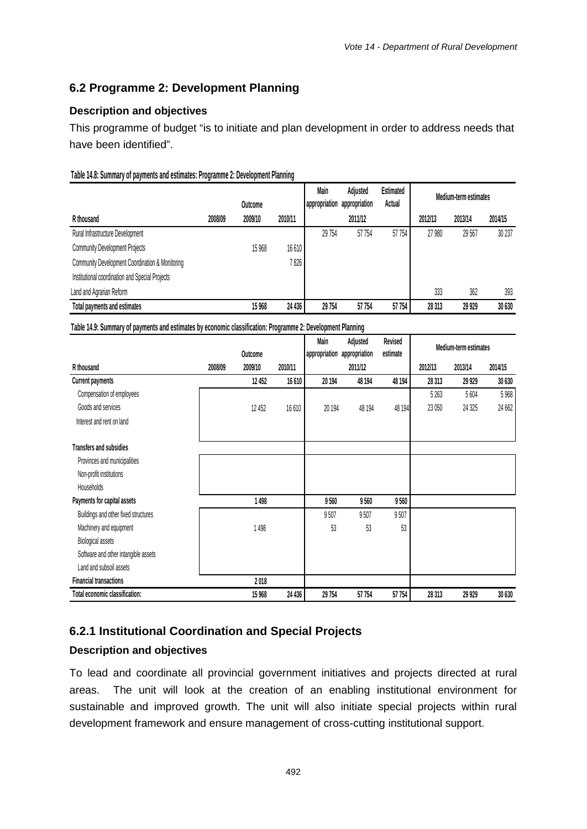# **6.2 Programme 2: Development Planning**

### **Description and objectives**

This programme of budget "is to initiate and plan development in order to address needs that have been identified".

#### **Table 14.8: Summary of payments and estimates: Programme 2: Development Planning**

|                                                 |         | Outcome |         | Main<br>appropriation | Adjusted<br>appropriation | Estimated<br>Actual | Medium-term estimates |         |         |
|-------------------------------------------------|---------|---------|---------|-----------------------|---------------------------|---------------------|-----------------------|---------|---------|
| R thousand                                      | 2008/09 | 2009/10 | 2010/11 |                       | 2011/12                   |                     | 2012/13               | 2013/14 | 2014/15 |
| Rural Infrastructure Development                |         |         |         | 29 754                | 57 754                    | 57 754              | 27 980                | 29 567  | 30 237  |
| <b>Community Development Projects</b>           |         | 15 9 68 | 16610   |                       |                           |                     |                       |         |         |
| Community Development Coordination & Monitoring |         |         | 7 826   |                       |                           |                     |                       |         |         |
| Institutional coordination and Special Projects |         |         |         |                       |                           |                     |                       |         |         |
| Land and Agrarian Reform                        |         |         |         |                       |                           |                     | 333                   | 362     | 393     |
| Total payments and estimates                    |         | 15 968  | 24 436  | 29 754                | 57754                     | 57 754              | 28 31 3               | 29 9 29 | 30 630  |

**Table 14.9: Summary of payments and estimates by economic classification: Programme 2: Development Planning**

|                                      |         |         |         | Main          | Adjusted      | Revised  |         | Medium-term estimates |         |
|--------------------------------------|---------|---------|---------|---------------|---------------|----------|---------|-----------------------|---------|
|                                      |         | Outcome |         | appropriation | appropriation | estimate |         |                       |         |
| R thousand                           | 2008/09 | 2009/10 | 2010/11 |               | 2011/12       |          | 2012/13 | 2013/14               | 2014/15 |
| <b>Current payments</b>              |         | 12 452  | 16 610  | 20 194        | 48 194        | 48 194   | 28 3 13 | 29 929                | 30 630  |
| Compensation of employees            |         |         |         |               |               |          | 5 2 6 3 | 5 6 0 4               | 5968    |
| Goods and services                   |         | 12 452  | 16610   | 20 194        | 48 194        | 48 194   | 23 050  | 24 3 25               | 24 662  |
| Interest and rent on land            |         |         |         |               |               |          |         |                       |         |
| <b>Transfers and subsidies</b>       |         |         |         |               |               |          |         |                       |         |
| Provinces and municipalities         |         |         |         |               |               |          |         |                       |         |
| Non-profit institutions              |         |         |         |               |               |          |         |                       |         |
| <b>Households</b>                    |         |         |         |               |               |          |         |                       |         |
| Payments for capital assets          |         | 1498    |         | 9560          | 9560          | 9560     |         |                       |         |
| Buildings and other fixed structures |         |         |         | 9507          | 9507          | 9507     |         |                       |         |
| Machinery and equipment              |         | 1498    |         | 53            | 53            | 53       |         |                       |         |
| Biological assets                    |         |         |         |               |               |          |         |                       |         |
| Software and other intangible assets |         |         |         |               |               |          |         |                       |         |
| Land and subsoil assets              |         |         |         |               |               |          |         |                       |         |
| <b>Financial transactions</b>        |         | 2018    |         |               |               |          |         |                       |         |
| Total economic classification:       |         | 15 968  | 24 436  | 29 754        | 57 754        | 57 754   | 28 313  | 29 9 29               | 30 630  |

# **6.2.1 Institutional Coordination and Special Projects**

# **Description and objectives**

To lead and coordinate all provincial government initiatives and projects directed at rural areas. The unit will look at the creation of an enabling institutional environment for sustainable and improved growth. The unit will also initiate special projects within rural development framework and ensure management of cross-cutting institutional support.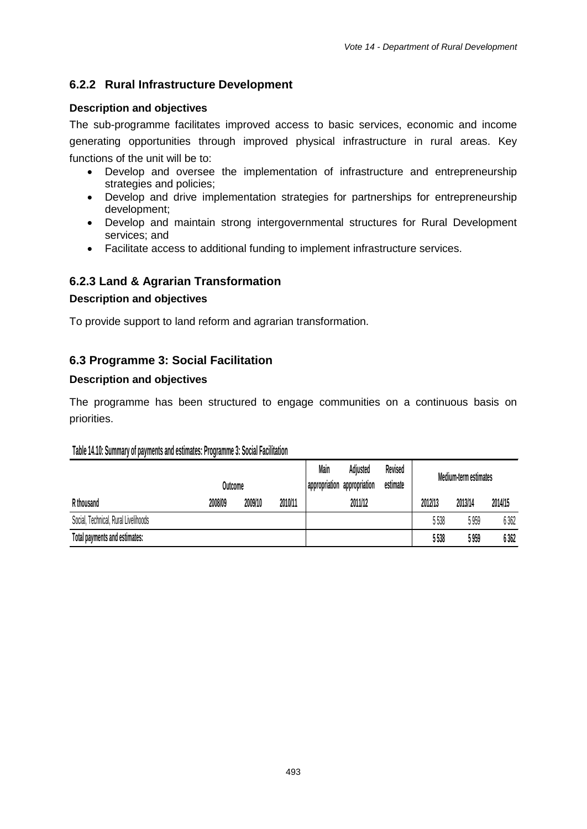# **6.2.2 Rural Infrastructure Development**

### **Description and objectives**

The sub-programme facilitates improved access to basic services, economic and income generating opportunities through improved physical infrastructure in rural areas. Key functions of the unit will be to:

- Develop and oversee the implementation of infrastructure and entrepreneurship strategies and policies;
- Develop and drive implementation strategies for partnerships for entrepreneurship development;
- Develop and maintain strong intergovernmental structures for Rural Development services; and
- Facilitate access to additional funding to implement infrastructure services.

# **6.2.3 Land & Agrarian Transformation**

# **Description and objectives**

To provide support to land reform and agrarian transformation.

# **6.3 Programme 3: Social Facilitation**

### **Description and objectives**

The programme has been structured to engage communities on a continuous basis on priorities.

### **Table 14.10: Summary of payments and estimates: Programme 3: Social Facilitation**

|                                      | Outcome |         |         | Main<br>appropriation appropriation | Adjusted | Revised<br>estimate |         | Medium-term estimates |         |
|--------------------------------------|---------|---------|---------|-------------------------------------|----------|---------------------|---------|-----------------------|---------|
| R thousand                           | 2008/09 | 2009/10 | 2010/11 |                                     | 2011/12  |                     | 2012/13 | 2013/14               | 2014/15 |
| Social, Technical, Rural Livelihoods |         |         |         |                                     |          |                     | 5538    | 5 959                 | 6362    |
| Total payments and estimates:        |         |         |         |                                     |          |                     | 5538    | 5 959                 | 6362    |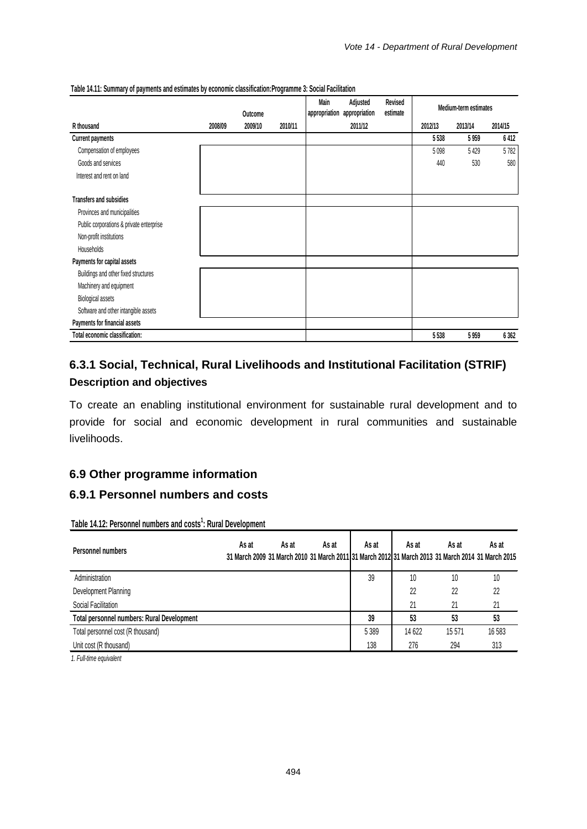|                                          |         | Outcome |         | Main<br>appropriation | Adjusted<br>appropriation | Revised<br>estimate | Medium-term estimates |         |         |
|------------------------------------------|---------|---------|---------|-----------------------|---------------------------|---------------------|-----------------------|---------|---------|
| R thousand                               | 2008/09 | 2009/10 | 2010/11 |                       | 2011/12                   |                     | 2012/13               | 2013/14 | 2014/15 |
| <b>Current payments</b>                  |         |         |         |                       |                           |                     | 5538                  | 5959    | 6412    |
| Compensation of employees                |         |         |         |                       |                           |                     | 5098                  | 5 4 2 9 | 5782    |
| Goods and services                       |         |         |         |                       |                           |                     | 440                   | 530     | 580     |
| Interest and rent on land                |         |         |         |                       |                           |                     |                       |         |         |
| <b>Transfers and subsidies</b>           |         |         |         |                       |                           |                     |                       |         |         |
| Provinces and municipalities             |         |         |         |                       |                           |                     |                       |         |         |
| Public corporations & private enterprise |         |         |         |                       |                           |                     |                       |         |         |
| Non-profit institutions                  |         |         |         |                       |                           |                     |                       |         |         |
| <b>Households</b>                        |         |         |         |                       |                           |                     |                       |         |         |
| Payments for capital assets              |         |         |         |                       |                           |                     |                       |         |         |
| Buildings and other fixed structures     |         |         |         |                       |                           |                     |                       |         |         |
| Machinery and equipment                  |         |         |         |                       |                           |                     |                       |         |         |
| Biological assets                        |         |         |         |                       |                           |                     |                       |         |         |
| Software and other intangible assets     |         |         |         |                       |                           |                     |                       |         |         |
| Payments for financial assets            |         |         |         |                       |                           |                     |                       |         |         |
| Total economic classification:           |         |         |         |                       |                           |                     | 5538                  | 5959    | 6362    |

#### **Table 14.11: Summary of payments and estimates by economic classification:Programme 3: Social Facilitation**

# **6.3.1 Social, Technical, Rural Livelihoods and Institutional Facilitation (STRIF) Description and objectives**

To create an enabling institutional environment for sustainable rural development and to provide for social and economic development in rural communities and sustainable livelihoods.

# **6.9 Other programme information**

# **6.9.1 Personnel numbers and costs**

Table 14.12: Personnel numbers and costs<sup>1</sup>: Rural Development

| Personnel numbers                          | As at | As at | As at | As at   | As at  | As at<br>31 March 2009 31 March 2010 31 March 2011 31 March 2012 31 March 2013 31 March 2014 31 March 2015 | As at |
|--------------------------------------------|-------|-------|-------|---------|--------|------------------------------------------------------------------------------------------------------------|-------|
| Administration                             |       |       |       | 39      | 10     | 10                                                                                                         | 10    |
| Development Planning                       |       |       |       |         | 22     | 22                                                                                                         | 22    |
| Social Facilitation                        |       |       |       |         | 21     | 21                                                                                                         |       |
| Total personnel numbers: Rural Development |       |       |       | 39      | 53     | 53                                                                                                         | 53    |
| Total personnel cost (R thousand)          |       |       |       | 5 3 8 9 | 14 622 | 15571                                                                                                      | 16583 |
| Unit cost (R thousand)                     |       |       |       | 138     | 276    | 294                                                                                                        | 313   |
|                                            |       |       |       |         |        |                                                                                                            |       |

*1. Full-time equivalent*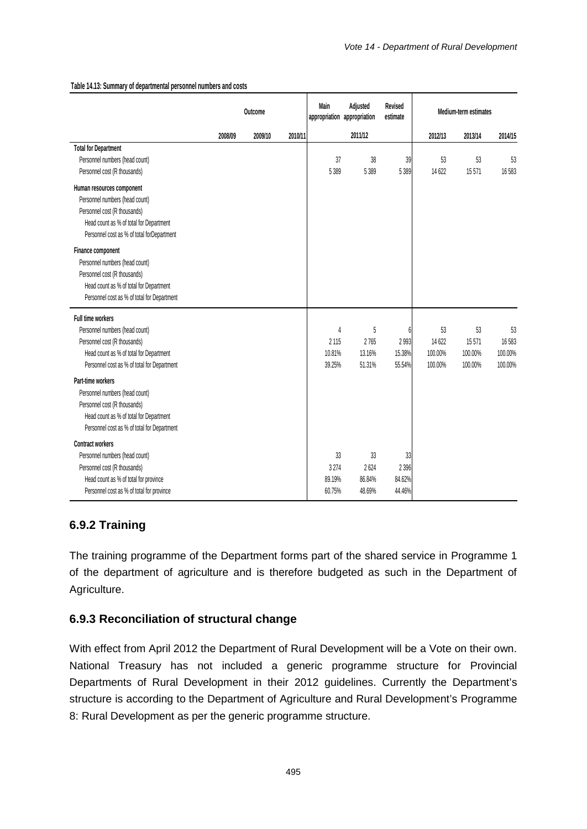|                                                                                                                                                                                       | Outcome |         |         | Adjusted<br>Main<br>appropriation appropriation |                                | Revised<br>estimate               | Medium-term estimates              |                                   |                                   |
|---------------------------------------------------------------------------------------------------------------------------------------------------------------------------------------|---------|---------|---------|-------------------------------------------------|--------------------------------|-----------------------------------|------------------------------------|-----------------------------------|-----------------------------------|
|                                                                                                                                                                                       | 2008/09 | 2009/10 | 2010/11 |                                                 | 2011/12                        |                                   | 2012/13                            | 2013/14                           | 2014/15                           |
| <b>Total for Department</b><br>Personnel numbers (head count)<br>Personnel cost (R thousands)                                                                                         |         |         |         | 37<br>5 3 8 9                                   | 38<br>5 3 8 9                  | 39<br>5 3 8 9                     | 53<br>14 622                       | 53<br>15571                       | 53<br>16583                       |
| Human resources component<br>Personnel numbers (head count)<br>Personnel cost (R thousands)<br>Head count as % of total for Department<br>Personnel cost as % of total for Department |         |         |         |                                                 |                                |                                   |                                    |                                   |                                   |
| Finance component<br>Personnel numbers (head count)<br>Personnel cost (R thousands)<br>Head count as % of total for Department<br>Personnel cost as % of total for Department         |         |         |         |                                                 |                                |                                   |                                    |                                   |                                   |
| Full time workers<br>Personnel numbers (head count)<br>Personnel cost (R thousands)<br>Head count as % of total for Department<br>Personnel cost as % of total for Department         |         |         |         | 4<br>2 1 1 5<br>10.81%<br>39.25%                | 5<br>2765<br>13.16%<br>51.31%  | 6<br>2993<br>15.38%<br>55.54%     | 53<br>14 622<br>100.00%<br>100.00% | 53<br>15571<br>100.00%<br>100.00% | 53<br>16583<br>100.00%<br>100.00% |
| Part-time workers<br>Personnel numbers (head count)<br>Personnel cost (R thousands)<br>Head count as % of total for Department<br>Personnel cost as % of total for Department         |         |         |         |                                                 |                                |                                   |                                    |                                   |                                   |
| Contract workers<br>Personnel numbers (head count)<br>Personnel cost (R thousands)<br>Head count as % of total for province<br>Personnel cost as % of total for province              |         |         |         | 33<br>3 2 7 4<br>89.19%<br>60.75%               | 33<br>2624<br>86.84%<br>48.69% | 33<br>2 3 9 6<br>84.62%<br>44.46% |                                    |                                   |                                   |

#### **Table 14.13: Summary of departmental personnel numbers and costs**

# **6.9.2 Training**

The training programme of the Department forms part of the shared service in Programme 1 of the department of agriculture and is therefore budgeted as such in the Department of Agriculture.

### **6.9.3 Reconciliation of structural change**

With effect from April 2012 the Department of Rural Development will be a Vote on their own. National Treasury has not included a generic programme structure for Provincial Departments of Rural Development in their 2012 guidelines. Currently the Department's structure is according to the Department of Agriculture and Rural Development's Programme 8: Rural Development as per the generic programme structure.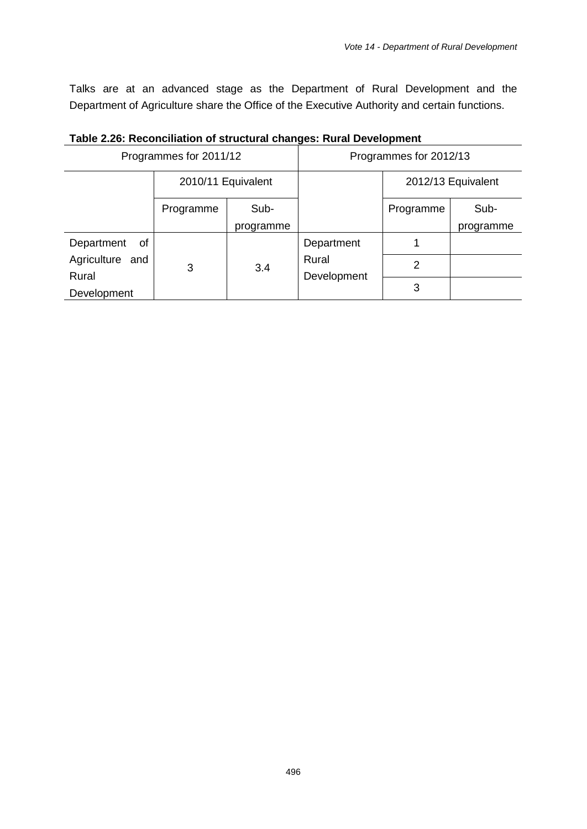Talks are at an advanced stage as the Department of Rural Development and the Department of Agriculture share the Office of the Executive Authority and certain functions.

|                      |                        |           | -3---                  |           |                    |  |  |  |  |  |
|----------------------|------------------------|-----------|------------------------|-----------|--------------------|--|--|--|--|--|
|                      | Programmes for 2011/12 |           | Programmes for 2012/13 |           |                    |  |  |  |  |  |
|                      | 2010/11 Equivalent     |           |                        |           | 2012/13 Equivalent |  |  |  |  |  |
|                      | Sub-<br>Programme      |           |                        | Programme | Sub-               |  |  |  |  |  |
|                      |                        | programme |                        |           | programme          |  |  |  |  |  |
| Department<br>0f     |                        |           | Department             |           |                    |  |  |  |  |  |
| Agriculture and      | 3                      | 3.4       | Rural                  | 2         |                    |  |  |  |  |  |
| Rural<br>Development |                        |           | Development            | 3         |                    |  |  |  |  |  |

# **Table 2.26: Reconciliation of structural changes: Rural Development**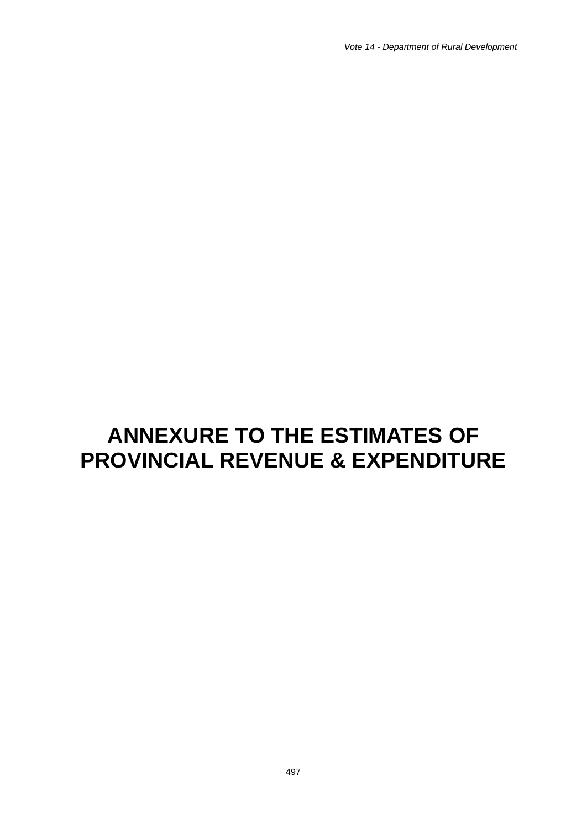*Vote 14 - Department of Rural Development*

# **ANNEXURE TO THE ESTIMATES OF PROVINCIAL REVENUE & EXPENDITURE**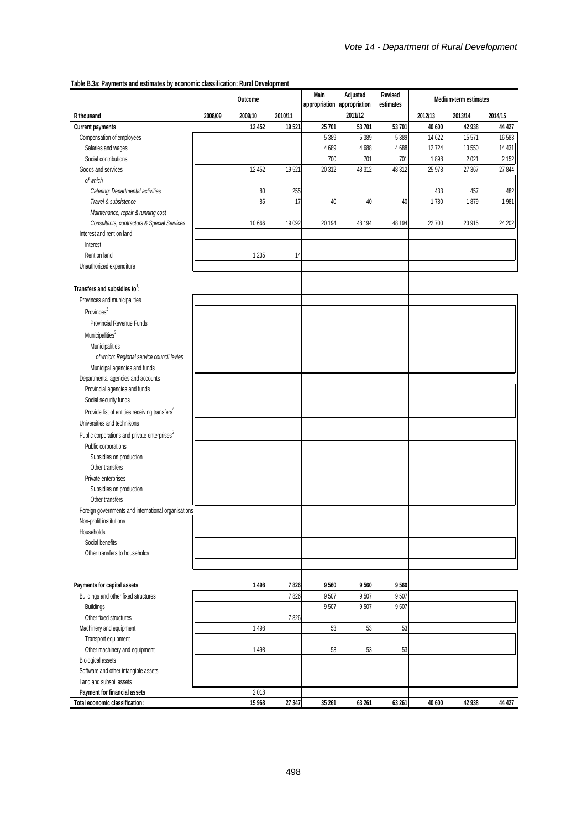#### **Table B.3a: Payments and estimates by economic classification: Rural Development**

|                                                           | Outcome |          |         | Main<br>appropriation appropriation | Adjusted | Revised<br>estimates | Medium-term estimates |         |         |  |
|-----------------------------------------------------------|---------|----------|---------|-------------------------------------|----------|----------------------|-----------------------|---------|---------|--|
| R thousand                                                | 2008/09 | 2009/10  | 2010/11 |                                     | 2011/12  |                      | 2012/13               | 2013/14 | 2014/15 |  |
| Current payments                                          |         | 12 452   | 19521   | 25 701                              | 53 701   | 53 701               | 40 600                | 42 938  | 44 427  |  |
| Compensation of employees                                 |         |          |         | 5 3 8 9                             | 5 3 8 9  | 5 3 8 9              | 14 622                | 15 5 71 | 16 583  |  |
| Salaries and wages                                        |         |          |         | 4689                                | 4688     | 4688                 | 12 7 24               | 13 550  | 14 4 31 |  |
| Social contributions                                      |         |          |         | 700                                 | 701      | 701                  | 1898                  | 2021    | 2 1 5 2 |  |
| Goods and services                                        |         | 12 452   | 19521   | 20 312                              | 48 312   | 48 312               | 25 978                | 27 367  | 27 844  |  |
| of which                                                  |         |          |         |                                     |          |                      |                       |         |         |  |
| Catering: Departmental activities                         |         | 80       | 255     |                                     |          |                      | 433                   | 457     | 482     |  |
| Travel & subsistence                                      |         | 85       | 17      | 40                                  | 40       | 40                   | 1780                  | 1879    | 1981    |  |
| Maintenance, repair & running cost                        |         |          |         |                                     |          |                      |                       |         |         |  |
| Consultants, contractors & Special Services               |         | 10 6 6 6 | 19 092  | 20 194                              | 48 194   | 48 194               | 22 700                | 23 915  | 24 202  |  |
| Interest and rent on land                                 |         |          |         |                                     |          |                      |                       |         |         |  |
| Interest                                                  |         |          |         |                                     |          |                      |                       |         |         |  |
| Rent on land                                              |         | 1 2 3 5  | 14      |                                     |          |                      |                       |         |         |  |
|                                                           |         |          |         |                                     |          |                      |                       |         |         |  |
| Unauthorized expenditure                                  |         |          |         |                                     |          |                      |                       |         |         |  |
| Transfers and subsidies to <sup>1</sup> :                 |         |          |         |                                     |          |                      |                       |         |         |  |
| Provinces and municipalities                              |         |          |         |                                     |          |                      |                       |         |         |  |
| Provinces <sup>2</sup>                                    |         |          |         |                                     |          |                      |                       |         |         |  |
| Provincial Revenue Funds                                  |         |          |         |                                     |          |                      |                       |         |         |  |
| $M$ unicipalities $3$                                     |         |          |         |                                     |          |                      |                       |         |         |  |
| Municipalities                                            |         |          |         |                                     |          |                      |                       |         |         |  |
| of which: Regional service council levies                 |         |          |         |                                     |          |                      |                       |         |         |  |
| Municipal agencies and funds                              |         |          |         |                                     |          |                      |                       |         |         |  |
| Departmental agencies and accounts                        |         |          |         |                                     |          |                      |                       |         |         |  |
| Provincial agencies and funds                             |         |          |         |                                     |          |                      |                       |         |         |  |
| Social security funds                                     |         |          |         |                                     |          |                      |                       |         |         |  |
| Provide list of entities receiving transfers <sup>4</sup> |         |          |         |                                     |          |                      |                       |         |         |  |
| Universities and technikons                               |         |          |         |                                     |          |                      |                       |         |         |  |
|                                                           |         |          |         |                                     |          |                      |                       |         |         |  |
| Public corporations and private enterprises <sup>5</sup>  |         |          |         |                                     |          |                      |                       |         |         |  |
| Public corporations                                       |         |          |         |                                     |          |                      |                       |         |         |  |
| Subsidies on production                                   |         |          |         |                                     |          |                      |                       |         |         |  |
| Other transfers                                           |         |          |         |                                     |          |                      |                       |         |         |  |
| Private enterprises                                       |         |          |         |                                     |          |                      |                       |         |         |  |
| Subsidies on production                                   |         |          |         |                                     |          |                      |                       |         |         |  |
| Other transfers                                           |         |          |         |                                     |          |                      |                       |         |         |  |
| Foreign governments and international organisations       |         |          |         |                                     |          |                      |                       |         |         |  |
| Non-profit institutions                                   |         |          |         |                                     |          |                      |                       |         |         |  |
| Households                                                |         |          |         |                                     |          |                      |                       |         |         |  |
| Social benefits                                           |         |          |         |                                     |          |                      |                       |         |         |  |
| Other transfers to households                             |         |          |         |                                     |          |                      |                       |         |         |  |
|                                                           |         |          |         |                                     |          |                      |                       |         |         |  |
| Payments for capital assets                               |         | 1498     | 7826    | 9560                                | 9560     | 9560                 |                       |         |         |  |
| Buildings and other fixed structures                      |         |          | 7826    | 9507                                | 9507     | 9507                 |                       |         |         |  |
| <b>Buildings</b>                                          |         |          |         | 9507                                | 9507     | 9507                 |                       |         |         |  |
| Other fixed structures                                    |         |          | 7826    |                                     |          |                      |                       |         |         |  |
| Machinery and equipment                                   |         | 1 4 9 8  |         | 53                                  | 53       | 53                   |                       |         |         |  |
| Transport equipment                                       |         |          |         |                                     |          |                      |                       |         |         |  |
| Other machinery and equipment                             |         | 1 4 9 8  |         | 53                                  | 53       | 53                   |                       |         |         |  |
| Biological assets                                         |         |          |         |                                     |          |                      |                       |         |         |  |
| Software and other intangible assets                      |         |          |         |                                     |          |                      |                       |         |         |  |
| Land and subsoil assets                                   |         |          |         |                                     |          |                      |                       |         |         |  |
| Payment for financial assets                              |         | 2018     |         |                                     |          |                      |                       |         |         |  |
| Total economic classification:                            |         | 15 968   | 27 347  | 35 261                              | 63 261   | 63 261               | 40 600                | 42 938  | 44 427  |  |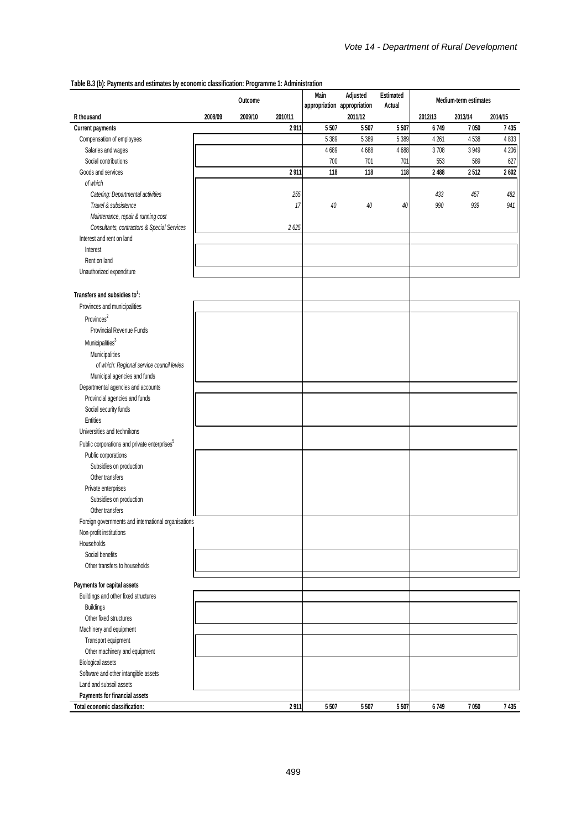|  | Table B.3 (b): Payments and estimates by economic classification: Programme 1: Administration |  |
|--|-----------------------------------------------------------------------------------------------|--|
|  |                                                                                               |  |

|                                                                 | Outcome |         |         | Adjusted<br>Main<br>appropriation appropriation |         | Estimated<br>Actual | Medium-term estimates |         |         |  |
|-----------------------------------------------------------------|---------|---------|---------|-------------------------------------------------|---------|---------------------|-----------------------|---------|---------|--|
| R thousand                                                      | 2008/09 | 2009/10 | 2010/11 |                                                 | 2011/12 |                     | 2012/13               | 2013/14 | 2014/15 |  |
| Current payments                                                |         |         | 2911    | 5507                                            | 5507    | 5 5 0 7             | 6749                  | 7050    | 7 435   |  |
| Compensation of employees                                       |         |         |         | 5 3 8 9                                         | 5 3 8 9 | 5 3 8 9             | 4 2 6 1               | 4538    | 4833    |  |
| Salaries and wages                                              |         |         |         | 4 6 8 9                                         | 4688    | 4688                | 3708                  | 3 9 4 9 | 4 20 6  |  |
| Social contributions                                            |         |         |         | 700                                             | 701     | 701                 | 553                   | 589     | 627     |  |
| Goods and services                                              |         |         | 2911    | 118                                             | 118     | 118                 | 2 4 8 8               | 2512    | 2 6 0 2 |  |
| of which                                                        |         |         |         |                                                 |         |                     |                       |         |         |  |
| Catering: Departmental activities                               |         |         | 255     |                                                 |         |                     | 433                   | 457     | 482     |  |
| Travel & subsistence                                            |         |         | 17      | 40                                              | 40      | 40                  | 990                   | 939     | 941     |  |
| Maintenance, repair & running cost                              |         |         |         |                                                 |         |                     |                       |         |         |  |
| Consultants, contractors & Special Services                     |         |         | 2625    |                                                 |         |                     |                       |         |         |  |
| Interest and rent on land                                       |         |         |         |                                                 |         |                     |                       |         |         |  |
| Interest                                                        |         |         |         |                                                 |         |                     |                       |         |         |  |
| Rent on land                                                    |         |         |         |                                                 |         |                     |                       |         |         |  |
| Unauthorized expenditure                                        |         |         |         |                                                 |         |                     |                       |         |         |  |
|                                                                 |         |         |         |                                                 |         |                     |                       |         |         |  |
| Transfers and subsidies to <sup>1</sup> :                       |         |         |         |                                                 |         |                     |                       |         |         |  |
| Provinces and municipalities                                    |         |         |         |                                                 |         |                     |                       |         |         |  |
| Provinces <sup>2</sup>                                          |         |         |         |                                                 |         |                     |                       |         |         |  |
| Provincial Revenue Funds                                        |         |         |         |                                                 |         |                     |                       |         |         |  |
| Municipalities <sup>3</sup>                                     |         |         |         |                                                 |         |                     |                       |         |         |  |
|                                                                 |         |         |         |                                                 |         |                     |                       |         |         |  |
| Municipalities                                                  |         |         |         |                                                 |         |                     |                       |         |         |  |
| of which: Regional service council levies                       |         |         |         |                                                 |         |                     |                       |         |         |  |
| Municipal agencies and funds                                    |         |         |         |                                                 |         |                     |                       |         |         |  |
| Departmental agencies and accounts                              |         |         |         |                                                 |         |                     |                       |         |         |  |
| Provincial agencies and funds                                   |         |         |         |                                                 |         |                     |                       |         |         |  |
| Social security funds                                           |         |         |         |                                                 |         |                     |                       |         |         |  |
| Entities                                                        |         |         |         |                                                 |         |                     |                       |         |         |  |
| Universities and technikons                                     |         |         |         |                                                 |         |                     |                       |         |         |  |
| Public corporations and private enterprises <sup>5</sup>        |         |         |         |                                                 |         |                     |                       |         |         |  |
| Public corporations                                             |         |         |         |                                                 |         |                     |                       |         |         |  |
| Subsidies on production                                         |         |         |         |                                                 |         |                     |                       |         |         |  |
| Other transfers                                                 |         |         |         |                                                 |         |                     |                       |         |         |  |
| Private enterprises                                             |         |         |         |                                                 |         |                     |                       |         |         |  |
| Subsidies on production                                         |         |         |         |                                                 |         |                     |                       |         |         |  |
| Other transfers                                                 |         |         |         |                                                 |         |                     |                       |         |         |  |
| Foreign governments and international organisations             |         |         |         |                                                 |         |                     |                       |         |         |  |
| Non-profit institutions                                         |         |         |         |                                                 |         |                     |                       |         |         |  |
| Households                                                      |         |         |         |                                                 |         |                     |                       |         |         |  |
| Social benefits                                                 |         |         |         |                                                 |         |                     |                       |         |         |  |
| Other transfers to households                                   |         |         |         |                                                 |         |                     |                       |         |         |  |
| Payments for capital assets                                     |         |         |         |                                                 |         |                     |                       |         |         |  |
| Buildings and other fixed structures                            |         |         |         |                                                 |         |                     |                       |         |         |  |
| <b>Buildings</b>                                                |         |         |         |                                                 |         |                     |                       |         |         |  |
| Other fixed structures                                          |         |         |         |                                                 |         |                     |                       |         |         |  |
|                                                                 |         |         |         |                                                 |         |                     |                       |         |         |  |
| Machinery and equipment                                         |         |         |         |                                                 |         |                     |                       |         |         |  |
| Transport equipment                                             |         |         |         |                                                 |         |                     |                       |         |         |  |
| Other machinery and equipment                                   |         |         |         |                                                 |         |                     |                       |         |         |  |
| Biological assets                                               |         |         |         |                                                 |         |                     |                       |         |         |  |
| Software and other intangible assets                            |         |         |         |                                                 |         |                     |                       |         |         |  |
| Land and subsoil assets                                         |         |         |         |                                                 |         |                     |                       |         |         |  |
| Payments for financial assets<br>Total economic classification: |         |         | 2911    | 5507                                            | 5507    | 5507                | 6749                  | 7050    | 7435    |  |
|                                                                 |         |         |         |                                                 |         |                     |                       |         |         |  |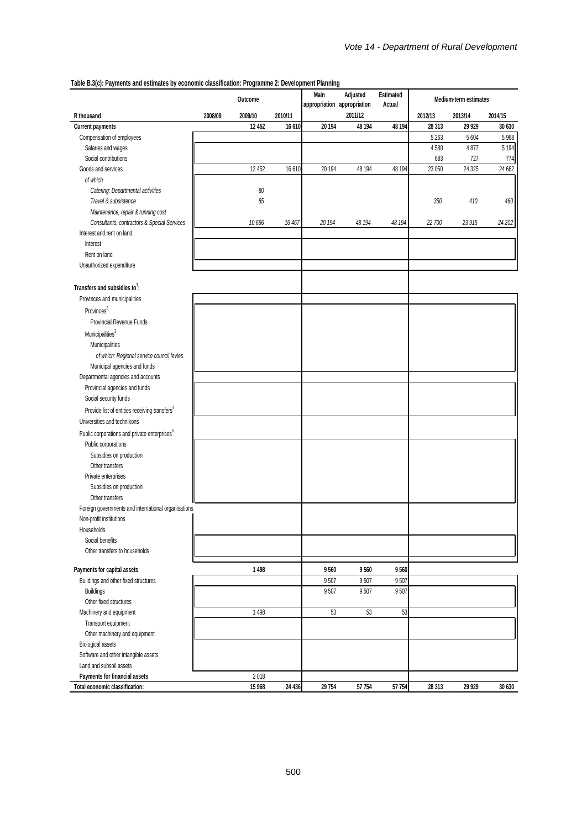**Table B.3(c): Payments and estimates by economic classification: Programme 2: Development Planning**

| 000 Dio(0). I approvide and examates by economic easemeation. I regramme E. Development I famility | Outcome |         | Adjusted<br>Main<br>appropriation appropriation |        | Estimated<br>Actual | Medium-term estimates |         |         |         |
|----------------------------------------------------------------------------------------------------|---------|---------|-------------------------------------------------|--------|---------------------|-----------------------|---------|---------|---------|
| R thousand                                                                                         | 2008/09 | 2009/10 | 2010/11                                         |        | 2011/12             |                       | 2012/13 | 2013/14 | 2014/15 |
| Current payments                                                                                   |         | 12 452  | 16 610                                          | 20 194 | 48 194              | 48 194                | 28 313  | 29 9 29 | 30 630  |
| Compensation of employees                                                                          |         |         |                                                 |        |                     |                       | 5 2 6 3 | 5 6 0 4 | 5 9 68  |
| Salaries and wages                                                                                 |         |         |                                                 |        |                     |                       | 4580    | 4877    | 5 1 9 4 |
| Social contributions                                                                               |         |         |                                                 |        |                     |                       | 683     | 727     | 774     |
| Goods and services                                                                                 |         | 12 452  | 16 610                                          | 20 194 | 48 194              | 48 194                | 23 050  | 24 3 25 | 24 662  |
| of which                                                                                           |         |         |                                                 |        |                     |                       |         |         |         |
| Catering: Departmental activities                                                                  |         | 80      |                                                 |        |                     |                       |         |         |         |
| Travel & subsistence                                                                               |         | 85      |                                                 |        |                     |                       | 350     | 410     | 460     |
| Maintenance, repair & running cost                                                                 |         |         |                                                 |        |                     |                       |         |         |         |
| Consultants, contractors & Special Services                                                        |         | 10 666  | 16 467                                          | 20 194 | 48 194              | 48 194                | 22 700  | 23 915  | 24 202  |
| Interest and rent on land                                                                          |         |         |                                                 |        |                     |                       |         |         |         |
| Interest                                                                                           |         |         |                                                 |        |                     |                       |         |         |         |
| Rent on land                                                                                       |         |         |                                                 |        |                     |                       |         |         |         |
| Unauthorized expenditure                                                                           |         |         |                                                 |        |                     |                       |         |         |         |
|                                                                                                    |         |         |                                                 |        |                     |                       |         |         |         |
| Transfers and subsidies to <sup>1</sup> :                                                          |         |         |                                                 |        |                     |                       |         |         |         |
| Provinces and municipalities                                                                       |         |         |                                                 |        |                     |                       |         |         |         |
| Provinces <sup>2</sup>                                                                             |         |         |                                                 |        |                     |                       |         |         |         |
| Provincial Revenue Funds                                                                           |         |         |                                                 |        |                     |                       |         |         |         |
|                                                                                                    |         |         |                                                 |        |                     |                       |         |         |         |
| Municipalities <sup>3</sup>                                                                        |         |         |                                                 |        |                     |                       |         |         |         |
| Municipalities                                                                                     |         |         |                                                 |        |                     |                       |         |         |         |
| of which: Regional service council levies                                                          |         |         |                                                 |        |                     |                       |         |         |         |
| Municipal agencies and funds                                                                       |         |         |                                                 |        |                     |                       |         |         |         |
| Departmental agencies and accounts                                                                 |         |         |                                                 |        |                     |                       |         |         |         |
| Provincial agencies and funds                                                                      |         |         |                                                 |        |                     |                       |         |         |         |
| Social security funds                                                                              |         |         |                                                 |        |                     |                       |         |         |         |
| Provide list of entities receiving transfers <sup>4</sup>                                          |         |         |                                                 |        |                     |                       |         |         |         |
| Universities and technikons                                                                        |         |         |                                                 |        |                     |                       |         |         |         |
| Public corporations and private enterprises <sup>5</sup>                                           |         |         |                                                 |        |                     |                       |         |         |         |
| Public corporations                                                                                |         |         |                                                 |        |                     |                       |         |         |         |
| Subsidies on production                                                                            |         |         |                                                 |        |                     |                       |         |         |         |
| Other transfers                                                                                    |         |         |                                                 |        |                     |                       |         |         |         |
| Private enterprises                                                                                |         |         |                                                 |        |                     |                       |         |         |         |
| Subsidies on production                                                                            |         |         |                                                 |        |                     |                       |         |         |         |
| Other transfers                                                                                    |         |         |                                                 |        |                     |                       |         |         |         |
| Foreign governments and international organisations                                                |         |         |                                                 |        |                     |                       |         |         |         |
| Non-profit institutions                                                                            |         |         |                                                 |        |                     |                       |         |         |         |
| Households                                                                                         |         |         |                                                 |        |                     |                       |         |         |         |
| Social benefits                                                                                    |         |         |                                                 |        |                     |                       |         |         |         |
| Other transfers to households                                                                      |         |         |                                                 |        |                     |                       |         |         |         |
|                                                                                                    |         |         |                                                 |        |                     |                       |         |         |         |
| Payments for capital assets                                                                        |         | 1498    |                                                 | 9560   | 9560                | 9560                  |         |         |         |
| Buildings and other fixed structures                                                               |         |         |                                                 | 9507   | 9507                | 9507                  |         |         |         |
| Buildings                                                                                          |         |         |                                                 | 9507   | 9507                | 9507                  |         |         |         |
| Other fixed structures                                                                             |         |         |                                                 |        |                     |                       |         |         |         |
| Machinery and equipment                                                                            |         | 1498    |                                                 | 53     | 53                  | 53                    |         |         |         |
| Transport equipment                                                                                |         |         |                                                 |        |                     |                       |         |         |         |
| Other machinery and equipment                                                                      |         |         |                                                 |        |                     |                       |         |         |         |
| <b>Biological assets</b>                                                                           |         |         |                                                 |        |                     |                       |         |         |         |
| Software and other intangible assets                                                               |         |         |                                                 |        |                     |                       |         |         |         |
| Land and subsoil assets                                                                            |         |         |                                                 |        |                     |                       |         |         |         |
| Payments for financial assets                                                                      |         | 2018    |                                                 |        |                     |                       |         |         |         |
| Total economic classification:                                                                     |         | 15 968  | 24 4 36                                         | 29 754 | 57 754              | 57 754                | 28 3 13 | 29 9 29 | 30 630  |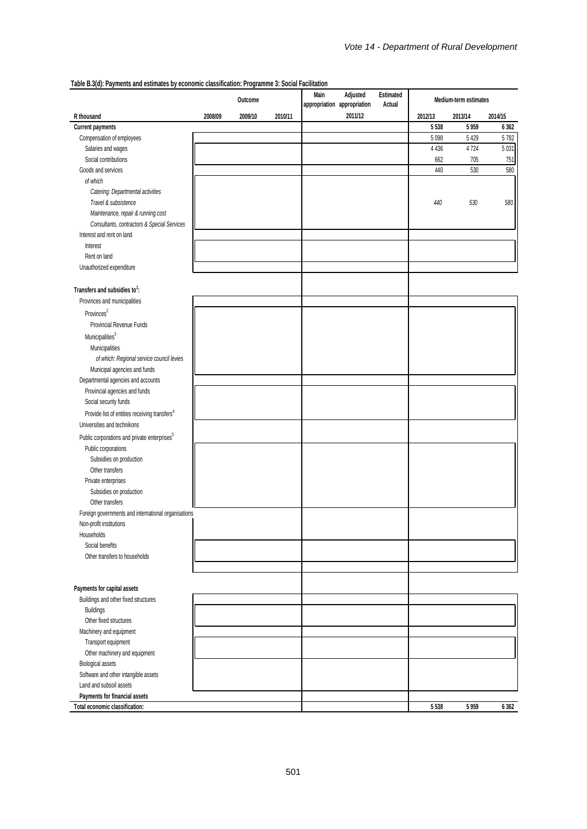|                                                           |         | Outcome |         | Main | Adjusted<br>Estimated<br>appropriation appropriation<br>Actual |  |         | Medium-term estimates |         |  |  |
|-----------------------------------------------------------|---------|---------|---------|------|----------------------------------------------------------------|--|---------|-----------------------|---------|--|--|
| R thousand                                                | 2008/09 | 2009/10 | 2010/11 |      | 2011/12                                                        |  | 2012/13 | 2013/14               | 2014/15 |  |  |
| Current payments                                          |         |         |         |      |                                                                |  | 5 5 3 8 | 5 9 5 9               | 6 3 6 2 |  |  |
| Compensation of employees                                 |         |         |         |      |                                                                |  | 5098    | 5 4 2 9               | 5782    |  |  |
| Salaries and wages                                        |         |         |         |      |                                                                |  | 4 4 3 6 | 4724                  | 5 0 31  |  |  |
| Social contributions                                      |         |         |         |      |                                                                |  | 662     | 705                   | 751     |  |  |
| Goods and services                                        |         |         |         |      |                                                                |  | 440     | 530                   | 580     |  |  |
| of which                                                  |         |         |         |      |                                                                |  |         |                       |         |  |  |
| Catering: Departmental activities                         |         |         |         |      |                                                                |  |         |                       |         |  |  |
| Travel & subsistence                                      |         |         |         |      |                                                                |  | 440     | 530                   | 580     |  |  |
| Maintenance, repair & running cost                        |         |         |         |      |                                                                |  |         |                       |         |  |  |
| Consultants, contractors & Special Services               |         |         |         |      |                                                                |  |         |                       |         |  |  |
| Interest and rent on land                                 |         |         |         |      |                                                                |  |         |                       |         |  |  |
| Interest                                                  |         |         |         |      |                                                                |  |         |                       |         |  |  |
| Rent on land                                              |         |         |         |      |                                                                |  |         |                       |         |  |  |
| Unauthorized expenditure                                  |         |         |         |      |                                                                |  |         |                       |         |  |  |
| Transfers and subsidies to <sup>1</sup> :                 |         |         |         |      |                                                                |  |         |                       |         |  |  |
| Provinces and municipalities                              |         |         |         |      |                                                                |  |         |                       |         |  |  |
| Provinces <sup>2</sup>                                    |         |         |         |      |                                                                |  |         |                       |         |  |  |
|                                                           |         |         |         |      |                                                                |  |         |                       |         |  |  |
| Provincial Revenue Funds                                  |         |         |         |      |                                                                |  |         |                       |         |  |  |
| Municipalities <sup>3</sup>                               |         |         |         |      |                                                                |  |         |                       |         |  |  |
| Municipalities                                            |         |         |         |      |                                                                |  |         |                       |         |  |  |
| of which: Regional service council levies                 |         |         |         |      |                                                                |  |         |                       |         |  |  |
| Municipal agencies and funds                              |         |         |         |      |                                                                |  |         |                       |         |  |  |
| Departmental agencies and accounts                        |         |         |         |      |                                                                |  |         |                       |         |  |  |
| Provincial agencies and funds                             |         |         |         |      |                                                                |  |         |                       |         |  |  |
| Social security funds                                     |         |         |         |      |                                                                |  |         |                       |         |  |  |
| Provide list of entities receiving transfers <sup>4</sup> |         |         |         |      |                                                                |  |         |                       |         |  |  |
| Universities and technikons                               |         |         |         |      |                                                                |  |         |                       |         |  |  |
| Public corporations and private enterprises <sup>5</sup>  |         |         |         |      |                                                                |  |         |                       |         |  |  |
| Public corporations                                       |         |         |         |      |                                                                |  |         |                       |         |  |  |
| Subsidies on production                                   |         |         |         |      |                                                                |  |         |                       |         |  |  |
| Other transfers                                           |         |         |         |      |                                                                |  |         |                       |         |  |  |
| Private enterprises                                       |         |         |         |      |                                                                |  |         |                       |         |  |  |
| Subsidies on production                                   |         |         |         |      |                                                                |  |         |                       |         |  |  |
| Other transfers                                           |         |         |         |      |                                                                |  |         |                       |         |  |  |
| Foreign governments and international organisations       |         |         |         |      |                                                                |  |         |                       |         |  |  |
| Non-profit institutions                                   |         |         |         |      |                                                                |  |         |                       |         |  |  |
| Households                                                |         |         |         |      |                                                                |  |         |                       |         |  |  |
| Social benefits                                           |         |         |         |      |                                                                |  |         |                       |         |  |  |
| Other transfers to households                             |         |         |         |      |                                                                |  |         |                       |         |  |  |
|                                                           |         |         |         |      |                                                                |  |         |                       |         |  |  |
|                                                           |         |         |         |      |                                                                |  |         |                       |         |  |  |
| Payments for capital assets                               |         |         |         |      |                                                                |  |         |                       |         |  |  |
| Buildings and other fixed structures                      |         |         |         |      |                                                                |  |         |                       |         |  |  |
| <b>Buildings</b>                                          |         |         |         |      |                                                                |  |         |                       |         |  |  |
| Other fixed structures                                    |         |         |         |      |                                                                |  |         |                       |         |  |  |
| Machinery and equipment                                   |         |         |         |      |                                                                |  |         |                       |         |  |  |
| Transport equipment                                       |         |         |         |      |                                                                |  |         |                       |         |  |  |
| Other machinery and equipment                             |         |         |         |      |                                                                |  |         |                       |         |  |  |
| <b>Biological assets</b>                                  |         |         |         |      |                                                                |  |         |                       |         |  |  |
| Software and other intangible assets                      |         |         |         |      |                                                                |  |         |                       |         |  |  |
| Land and subsoil assets                                   |         |         |         |      |                                                                |  |         |                       |         |  |  |
| Payments for financial assets                             |         |         |         |      |                                                                |  |         |                       |         |  |  |
| Total economic classification:                            |         |         |         |      |                                                                |  | 5538    | 5959                  | 6 3 6 2 |  |  |

**Table B.3(d): Payments and estimates by economic classification: Programme 3: Social Facilitation**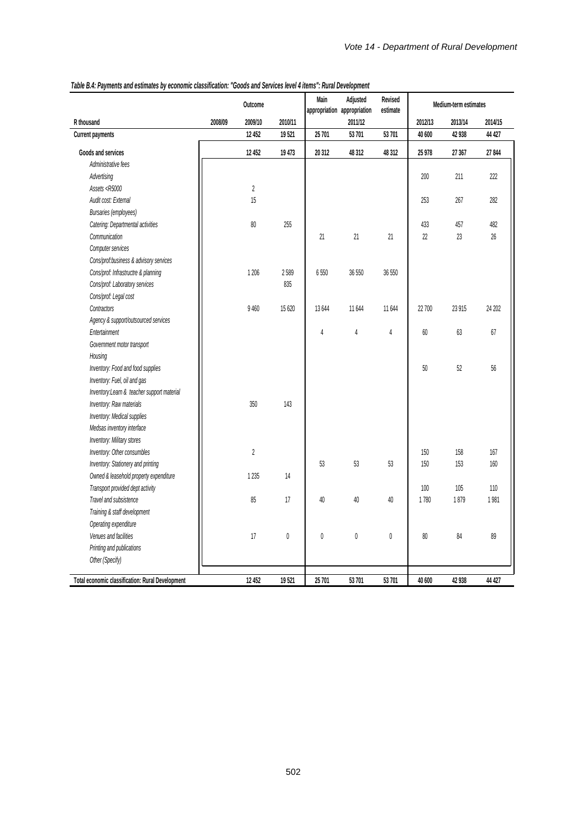|                                                                                                                                                       |         | Outcome        |           | Main           | Adjusted<br>appropriation appropriation | Revised<br>estimate | Medium-term estimates |         |         |
|-------------------------------------------------------------------------------------------------------------------------------------------------------|---------|----------------|-----------|----------------|-----------------------------------------|---------------------|-----------------------|---------|---------|
| R thousand                                                                                                                                            | 2008/09 | 2009/10        | 2010/11   |                | 2011/12                                 |                     | 2012/13               | 2013/14 | 2014/15 |
| <b>Current payments</b>                                                                                                                               |         | 12 452         | 19521     | 25 701         | 53 701                                  | 53 701              | 40 600                | 42938   | 44 427  |
| Goods and services                                                                                                                                    |         | 12 452         | 19 473    | 20 312         | 48 3 12                                 | 48 312              | 25 978                | 27 367  | 27844   |
| Administrative fees                                                                                                                                   |         |                |           |                |                                         |                     |                       |         |         |
| Advertising                                                                                                                                           |         |                |           |                |                                         |                     | 200                   | 211     | 222     |
| Assets <r5000< td=""><td></td><td><math display="inline">\sqrt{2}</math></td><td></td><td></td><td></td><td></td><td></td><td></td><td></td></r5000<> |         | $\sqrt{2}$     |           |                |                                         |                     |                       |         |         |
| Audit cost: External                                                                                                                                  |         | 15             |           |                |                                         |                     | 253                   | 267     | 282     |
| Bursaries (employees)                                                                                                                                 |         |                |           |                |                                         |                     |                       |         |         |
| Catering: Departmental activities                                                                                                                     |         | 80             | 255       |                |                                         |                     | 433                   | 457     | 482     |
| Communication                                                                                                                                         |         |                |           | 21             | 21                                      | 21                  | 22                    | 23      | 26      |
| Computer services                                                                                                                                     |         |                |           |                |                                         |                     |                       |         |         |
| Cons/prof:business & advisory services                                                                                                                |         |                |           |                |                                         |                     |                       |         |         |
| Cons/prof: Infrastructre & planning                                                                                                                   |         | 1 206          | 2589      | 6550           | 36 550                                  | 36 550              |                       |         |         |
| Cons/prof: Laboratory services                                                                                                                        |         |                | 835       |                |                                         |                     |                       |         |         |
| Cons/prof: Legal cost                                                                                                                                 |         |                |           |                |                                         |                     |                       |         |         |
| Contractors                                                                                                                                           |         | 9 4 6 0        | 15 620    | 13 644         | 11644                                   | 11 644              | 22 700                | 23 915  | 24 202  |
| Agency & support/outsourced services                                                                                                                  |         |                |           |                |                                         |                     |                       |         |         |
| Entertainment                                                                                                                                         |         |                |           | $\overline{4}$ | 4                                       | $\overline{4}$      | 60                    | 63      | 67      |
| Government motor transport                                                                                                                            |         |                |           |                |                                         |                     |                       |         |         |
| Housing                                                                                                                                               |         |                |           |                |                                         |                     |                       |         |         |
| Inventory: Food and food supplies                                                                                                                     |         |                |           |                |                                         |                     | 50                    | 52      | 56      |
| Inventory: Fuel, oil and gas                                                                                                                          |         |                |           |                |                                         |                     |                       |         |         |
| Inventory: Learn & teacher support material                                                                                                           |         |                |           |                |                                         |                     |                       |         |         |
| Inventory: Raw materials                                                                                                                              |         | 350            | 143       |                |                                         |                     |                       |         |         |
| Inventory: Medical supplies                                                                                                                           |         |                |           |                |                                         |                     |                       |         |         |
| Medsas inventory interface                                                                                                                            |         |                |           |                |                                         |                     |                       |         |         |
| Inventory: Military stores                                                                                                                            |         |                |           |                |                                         |                     |                       |         |         |
| Inventory: Other consumbles                                                                                                                           |         | $\overline{2}$ |           |                |                                         |                     | 150                   | 158     | 167     |
| Inventory: Stationery and printing                                                                                                                    |         |                |           | 53             | 53                                      | 53                  | 150                   | 153     | 160     |
| Owned & leasehold property expenditure                                                                                                                |         | 1 2 3 5        | 14        |                |                                         |                     |                       |         |         |
| Transport provided dept activity                                                                                                                      |         |                |           |                |                                         |                     | 100                   | 105     | 110     |
| Travel and subsistence                                                                                                                                |         | 85             | 17        | 40             | 40                                      | 40                  | 1780                  | 1879    | 1981    |
| Training & staff development                                                                                                                          |         |                |           |                |                                         |                     |                       |         |         |
| Operating expenditure                                                                                                                                 |         |                |           |                |                                         |                     |                       |         |         |
| Venues and facilities                                                                                                                                 |         | 17             | $\pmb{0}$ | $\pmb{0}$      | $\mathbb 0$                             | $\theta$            | 80                    | 84      | 89      |
|                                                                                                                                                       |         |                |           |                |                                         |                     |                       |         |         |
| Printing and publications<br>Other (Specify)                                                                                                          |         |                |           |                |                                         |                     |                       |         |         |
|                                                                                                                                                       |         |                |           |                |                                         |                     |                       |         |         |
| Total economic classification: Rural Development                                                                                                      |         | 12 452         | 19521     | 25 701         | 53 701                                  | 53 701              | 40 600                | 42938   | 44 427  |

# *Table B.4: Payments and estimates by economic classification: "Goods and Services level 4 items": Rural Development*